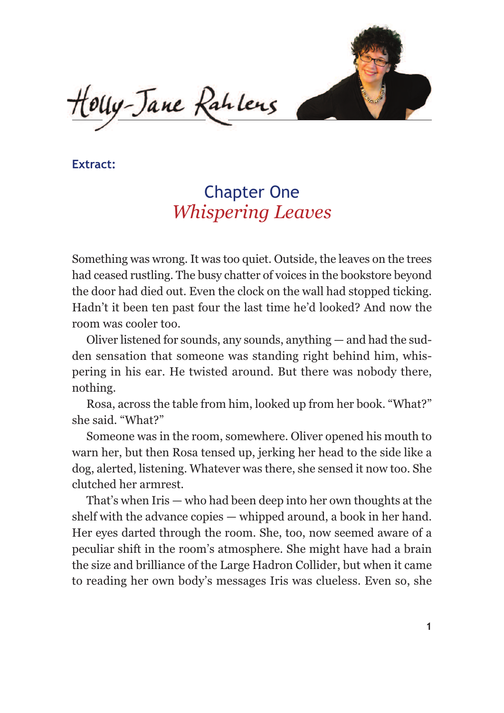

Couy-Jane Rahlens

**Extract:**

## Chapter One *Whispering Leaves*

Something was wrong. It was too quiet. Outside, the leaves on the trees had ceased rustling. The busy chatter of voices in the bookstore beyond the door had died out. Even the clock on the wall had stopped ticking. Hadn't it been ten past four the last time he'd looked? And now the room was cooler too.

Oliver listened for sounds, any sounds, anything — and had the sudden sensation that someone was standing right behind him, whispering in his ear. He twisted around. But there was nobody there, nothing.

Rosa, across the table from him, looked up from her book. "What?" she said. "What?"

Someone was in the room, somewhere. Oliver opened his mouth to warn her, but then Rosa tensed up, jerking her head to the side like a dog, alerted, listening. Whatever was there, she sensed it now too. She clutched her armrest.

That's when Iris — who had been deep into her own thoughts at the shelf with the advance copies — whipped around, a book in her hand. Her eyes darted through the room. She, too, now seemed aware of a peculiar shift in the room's atmosphere. She might have had a brain the size and brilliance of the Large Hadron Collider, but when it came to reading her own body's messages Iris was clueless. Even so, she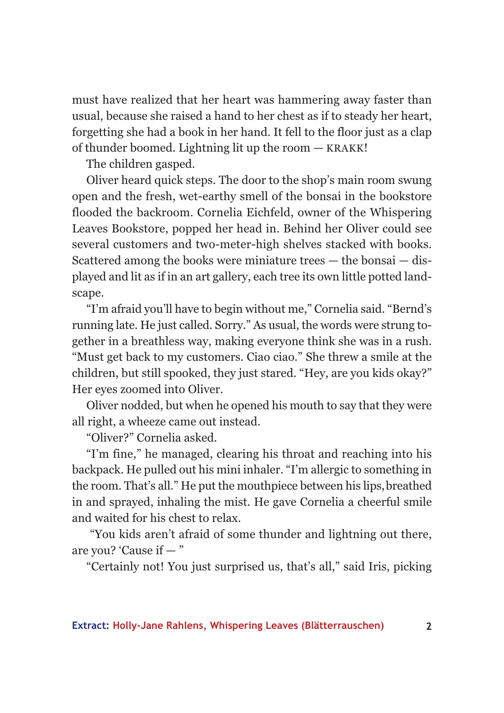must have realized that her heart was hammering away faster than usual, because she raised a hand to her chest as if to steady her heart, forgetting she had a book in her hand. It fell to the floor just as a clap of thunder boomed. Lightning lit up the room — KRAKK!

The children gasped.

Oliver heard quick steps. The door to the shop's main room swung open and the fresh, wet-earthy smell of the bonsai in the bookstore flooded the backroom. Cornelia Eichfeld, owner of the Whispering Leaves Bookstore, popped her head in. Behind her Oliver could see several customers and two-meter-high shelves stacked with books. Scattered among the books were miniature trees — the bonsai — displayed and lit as if in an art gallery, each tree its own little potted landscape.

"I'm afraid you'll have to begin without me," Cornelia said. "Bernd's running late. He just called. Sorry." As usual, the words were strung together in a breathless way, making everyone think she was in a rush. "Must get back to my customers. Ciao ciao." She threw a smile at the children, but still spooked, they just stared. "Hey, are you kids okay?" Her eyes zoomed into Oliver.

Oliver nodded, but when he opened his mouth to say that they were all right, a wheeze came out instead.

"Oliver?" Cornelia asked.

"I'm fine," he managed, clearing his throat and reaching into his backpack. He pulled out his mini inhaler. "I'm allergic to something in the room. That's all." He put the mouthpiece between his lips,breathed in and sprayed, inhaling the mist. He gave Cornelia a cheerful smile and waited for his chest to relax.

"You kids aren't afraid of some thunder and lightning out there, are you? 'Cause if — "

"Certainly not! You just surprised us, that's all," said Iris, picking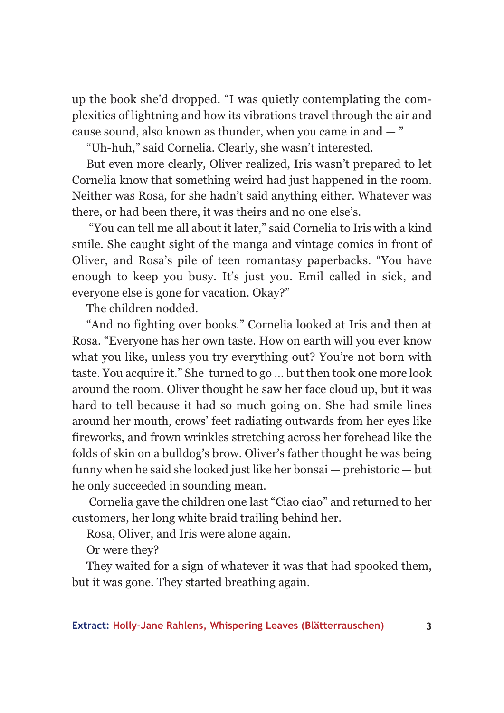up the book she'd dropped. "I was quietly contemplating the complexities of lightning and how its vibrations travel through the air and cause sound, also known as thunder, when you came in and — "

"Uh-huh," said Cornelia. Clearly, she wasn't interested.

But even more clearly, Oliver realized, Iris wasn't prepared to let Cornelia know that something weird had just happened in the room. Neither was Rosa, for she hadn't said anything either. Whatever was there, or had been there, it was theirs and no one else's.

"You can tell me all about it later," said Cornelia to Iris with a kind smile. She caught sight of the manga and vintage comics in front of Oliver, and Rosa's pile of teen romantasy paperbacks. "You have enough to keep you busy. It's just you. Emil called in sick, and everyone else is gone for vacation. Okay?"

The children nodded.

"And no fighting over books." Cornelia looked at Iris and then at Rosa. "Everyone has her own taste. How on earth will you ever know what you like, unless you try everything out? You're not born with taste. You acquire it." She turned to go ... but then took one more look around the room. Oliver thought he saw her face cloud up, but it was hard to tell because it had so much going on. She had smile lines around her mouth, crows' feet radiating outwards from her eyes like fireworks, and frown wrinkles stretching across her forehead like the folds of skin on a bulldog's brow. Oliver's father thought he was being funny when he said she looked just like her bonsai — prehistoric — but he only succeeded in sounding mean.

Cornelia gave the children one last "Ciao ciao" and returned to her customers, her long white braid trailing behind her.

Rosa, Oliver, and Iris were alone again.

Or were they?

They waited for a sign of whatever it was that had spooked them, but it was gone. They started breathing again.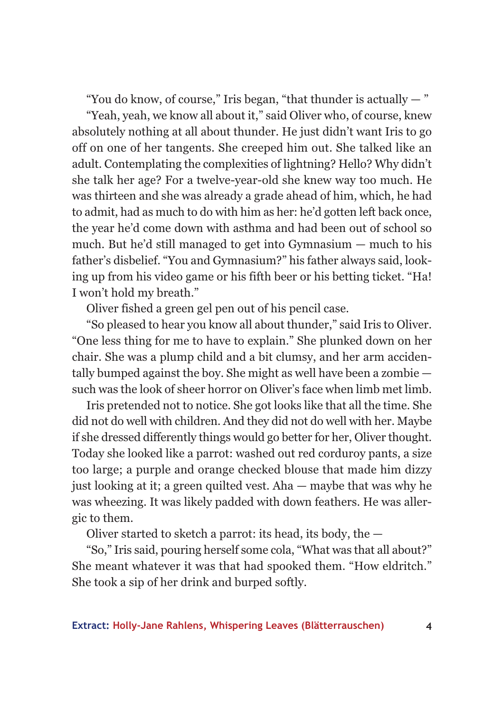"You do know, of course," Iris began, "that thunder is actually  $-$ "

"Yeah, yeah, we know all about it," said Oliver who, of course, knew absolutely nothing at all about thunder. He just didn't want Iris to go off on one of her tangents. She creeped him out. She talked like an adult. Contemplating the complexities of lightning? Hello? Why didn't she talk her age? For a twelve-year-old she knew way too much. He was thirteen and she was already a grade ahead of him, which, he had to admit, had as much to do with him as her: he'd gotten left back once, the year he'd come down with asthma and had been out of school so much. But he'd still managed to get into Gymnasium — much to his father's disbelief. "You and Gymnasium?" his father always said, looking up from his video game or his fifth beer or his betting ticket. "Ha! I won't hold my breath."

Oliver fished a green gel pen out of his pencil case.

"So pleased to hear you know all about thunder," said Iris to Oliver. "One less thing for me to have to explain." She plunked down on her chair. She was a plump child and a bit clumsy, and her arm accidentally bumped against the boy. She might as well have been a zombie such was the look of sheer horror on Oliver's face when limb met limb.

Iris pretended not to notice. She got looks like that all the time. She did not do well with children. And they did not do well with her. Maybe if she dressed differently things would go better for her, Oliver thought. Today she looked like a parrot: washed out red corduroy pants, a size too large; a purple and orange checked blouse that made him dizzy just looking at it; a green quilted vest. Aha — maybe that was why he was wheezing. It was likely padded with down feathers. He was allergic to them.

Oliver started to sketch a parrot: its head, its body, the —

"So," Iris said, pouring herself some cola, "What was that all about?" She meant whatever it was that had spooked them. "How eldritch." She took a sip of her drink and burped softly.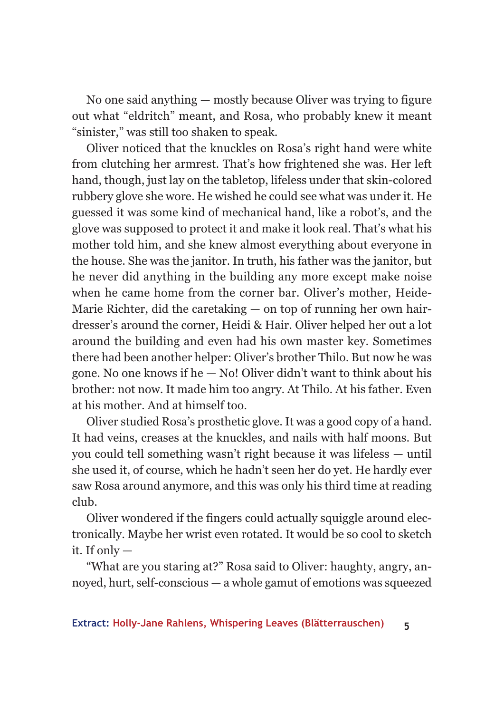No one said anything — mostly because Oliver was trying to figure out what "eldritch" meant, and Rosa, who probably knew it meant "sinister," was still too shaken to speak.

Oliver noticed that the knuckles on Rosa's right hand were white from clutching her armrest. That's how frightened she was. Her left hand, though, just lay on the tabletop, lifeless under that skin-colored rubbery glove she wore. He wished he could see what was under it. He guessed it was some kind of mechanical hand, like a robot's, and the glove was supposed to protect it and make it look real. That's what his mother told him, and she knew almost everything about everyone in the house. She was the janitor. In truth, his father was the janitor, but he never did anything in the building any more except make noise when he came home from the corner bar. Oliver's mother, Heide-Marie Richter, did the caretaking  $-$  on top of running her own hairdresser's around the corner, Heidi & Hair. Oliver helped her out a lot around the building and even had his own master key. Sometimes there had been another helper: Oliver's brother Thilo. But now he was gone. No one knows if he  $-$  No! Oliver didn't want to think about his brother: not now. It made him too angry. At Thilo. At his father. Even at his mother. And at himself too.

Oliver studied Rosa's prosthetic glove. It was a good copy of a hand. It had veins, creases at the knuckles, and nails with half moons. But you could tell something wasn't right because it was lifeless — until she used it, of course, which he hadn't seen her do yet. He hardly ever saw Rosa around anymore, and this was only his third time at reading club.

Oliver wondered if the fingers could actually squiggle around electronically. Maybe her wrist even rotated. It would be so cool to sketch it. If only  $-$ 

"What are you staring at?" Rosa said to Oliver: haughty, angry, annoyed, hurt, self-conscious — a whole gamut of emotions was squeezed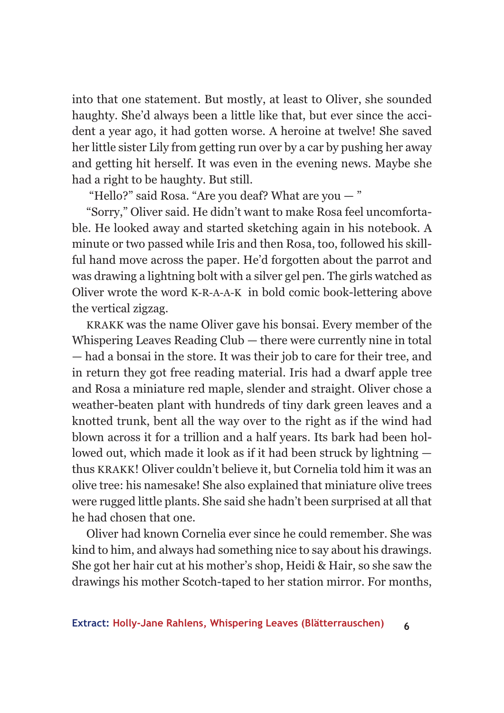into that one statement. But mostly, at least to Oliver, she sounded haughty. She'd always been a little like that, but ever since the accident a year ago, it had gotten worse. A heroine at twelve! She saved her little sister Lily from getting run over by a car by pushing her away and getting hit herself. It was even in the evening news. Maybe she had a right to be haughty. But still.

"Hello?" said Rosa. "Are you deaf? What are you — "

"Sorry," Oliver said. He didn't want to make Rosa feel uncomfortable. He looked away and started sketching again in his notebook. A minute or two passed while Iris and then Rosa, too, followed his skillful hand move across the paper. He'd forgotten about the parrot and was drawing a lightning bolt with a silver gel pen. The girls watched as Oliver wrote the word K-R-A-A-K in bold comic book-lettering above the vertical zigzag.

KRAKK was the name Oliver gave his bonsai. Every member of the Whispering Leaves Reading Club — there were currently nine in total — had a bonsai in the store. It was their job to care for their tree, and in return they got free reading material. Iris had a dwarf apple tree and Rosa a miniature red maple, slender and straight. Oliver chose a weather-beaten plant with hundreds of tiny dark green leaves and a knotted trunk, bent all the way over to the right as if the wind had blown across it for a trillion and a half years. Its bark had been hollowed out, which made it look as if it had been struck by lightning thus KRAKK! Oliver couldn't believe it, but Cornelia told him it was an olive tree: his namesake! She also explained that miniature olive trees were rugged little plants. She said she hadn't been surprised at all that he had chosen that one.

Oliver had known Cornelia ever since he could remember. She was kind to him, and always had something nice to say about his drawings. She got her hair cut at his mother's shop, Heidi & Hair, so she saw the drawings his mother Scotch-taped to her station mirror. For months,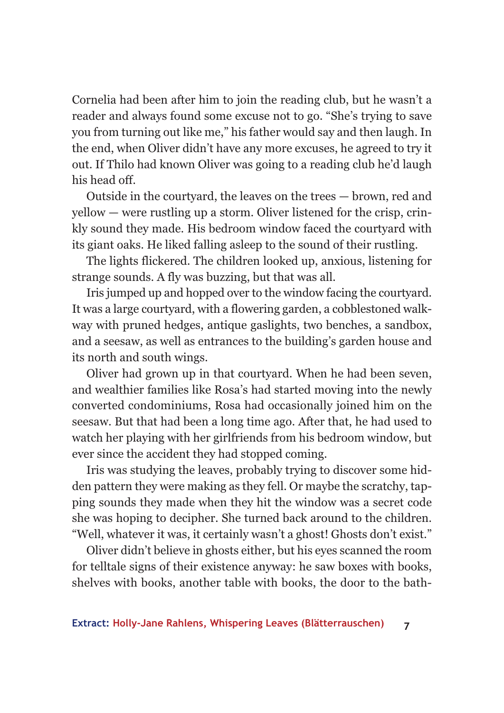Cornelia had been after him to join the reading club, but he wasn't a reader and always found some excuse not to go. "She's trying to save you from turning out like me," his father would say and then laugh. In the end, when Oliver didn't have any more excuses, he agreed to try it out. If Thilo had known Oliver was going to a reading club he'd laugh his head off.

Outside in the courtyard, the leaves on the trees — brown, red and yellow — were rustling up a storm. Oliver listened for the crisp, crinkly sound they made. His bedroom window faced the courtyard with its giant oaks. He liked falling asleep to the sound of their rustling.

The lights flickered. The children looked up, anxious, listening for strange sounds. A fly was buzzing, but that was all.

Iris jumped up and hopped over to the window facing the courtyard. It was a large courtyard, with a flowering garden, a cobblestoned walkway with pruned hedges, antique gaslights, two benches, a sandbox, and a seesaw, as well as entrances to the building's garden house and its north and south wings.

Oliver had grown up in that courtyard. When he had been seven, and wealthier families like Rosa's had started moving into the newly converted condominiums, Rosa had occasionally joined him on the seesaw. But that had been a long time ago. After that, he had used to watch her playing with her girlfriends from his bedroom window, but ever since the accident they had stopped coming.

Iris was studying the leaves, probably trying to discover some hidden pattern they were making as they fell. Or maybe the scratchy, tapping sounds they made when they hit the window was a secret code she was hoping to decipher. She turned back around to the children. "Well, whatever it was, it certainly wasn't a ghost! Ghosts don't exist."

Oliver didn't believe in ghosts either, but his eyes scanned the room for telltale signs of their existence anyway: he saw boxes with books, shelves with books, another table with books, the door to the bath-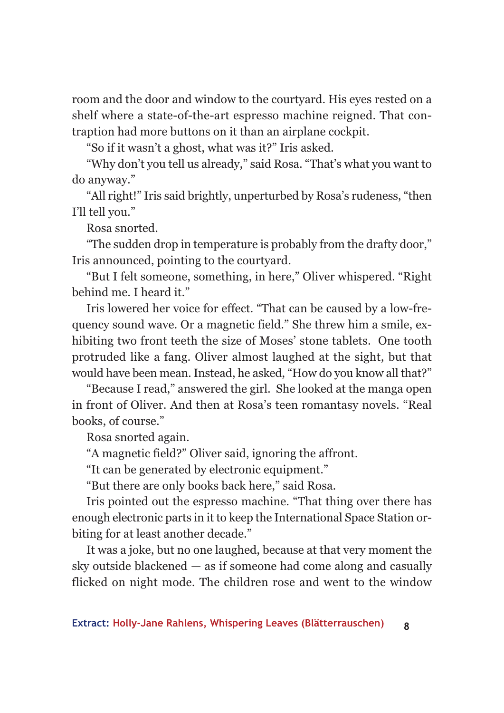room and the door and window to the courtyard. His eyes rested on a shelf where a state-of-the-art espresso machine reigned. That contraption had more buttons on it than an airplane cockpit.

"So if it wasn't a ghost, what was it?" Iris asked.

"Why don't you tell us already," said Rosa. "That's what you want to do anyway."

"All right!" Iris said brightly, unperturbed by Rosa's rudeness, "then I'll tell you."

Rosa snorted.

"The sudden drop in temperature is probably from the drafty door," Iris announced, pointing to the courtyard.

"But I felt someone, something, in here," Oliver whispered. "Right behind me. I heard it."

Iris lowered her voice for effect. "That can be caused by a low-frequency sound wave. Or a magnetic field." She threw him a smile, exhibiting two front teeth the size of Moses' stone tablets. One tooth protruded like a fang. Oliver almost laughed at the sight, but that would have been mean. Instead, he asked, "How do you know all that?"

"Because I read," answered the girl. She looked at the manga open in front of Oliver. And then at Rosa's teen romantasy novels. "Real books, of course."

Rosa snorted again.

"A magnetic field?" Oliver said, ignoring the affront.

"It can be generated by electronic equipment."

"But there are only books back here," said Rosa.

Iris pointed out the espresso machine. "That thing over there has enough electronic parts in it to keep the International Space Station orbiting for at least another decade."

It was a joke, but no one laughed, because at that very moment the sky outside blackened — as if someone had come along and casually flicked on night mode. The children rose and went to the window